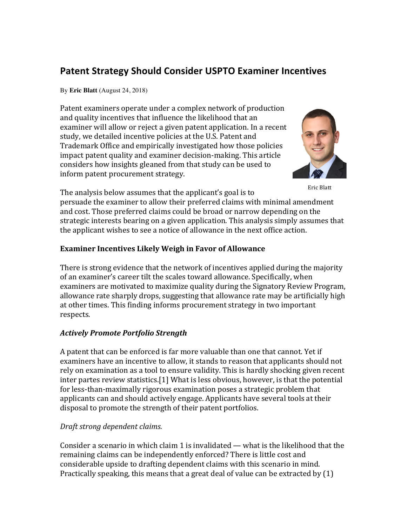# **Patent Strategy Should Consider USPTO Examiner Incentives**

By **Eric Blatt** (August 24, 2018)

Patent examiners operate under a complex network of production and quality incentives that influence the likelihood that an examiner will allow or reject a given patent application. In a recent study, we detailed incentive policies at the U.S. Patent and Trademark Office and empirically investigated how those policies impact patent quality and examiner decision-making. This article considers how insights gleaned from that study can be used to inform patent procurement strategy.



Eric Blatt 

The analysis below assumes that the applicant's goal is to

persuade the examiner to allow their preferred claims with minimal amendment and cost. Those preferred claims could be broad or narrow depending on the strategic interests bearing on a given application. This analysis simply assumes that the applicant wishes to see a notice of allowance in the next office action.

# **Examiner Incentives Likely Weigh in Favor of Allowance**

There is strong evidence that the network of incentives applied during the majority of an examiner's career tilt the scales toward allowance. Specifically, when examiners are motivated to maximize quality during the Signatory Review Program, allowance rate sharply drops, suggesting that allowance rate may be artificially high at other times. This finding informs procurement strategy in two important respects.

# *Actively Promote Portfolio Strength*

A patent that can be enforced is far more valuable than one that cannot. Yet if examiners have an incentive to allow, it stands to reason that applicants should not rely on examination as a tool to ensure validity. This is hardly shocking given recent  $inter$  partes review statistics.[1] What is less obvious, however, is that the potential for less-than-maximally rigorous examination poses a strategic problem that applicants can and should actively engage. Applicants have several tools at their disposal to promote the strength of their patent portfolios.

# *Draft strong dependent claims.*

Consider a scenario in which claim 1 is invalidated — what is the likelihood that the remaining claims can be independently enforced? There is little cost and considerable upside to drafting dependent claims with this scenario in mind. Practically speaking, this means that a great deal of value can be extracted by  $(1)$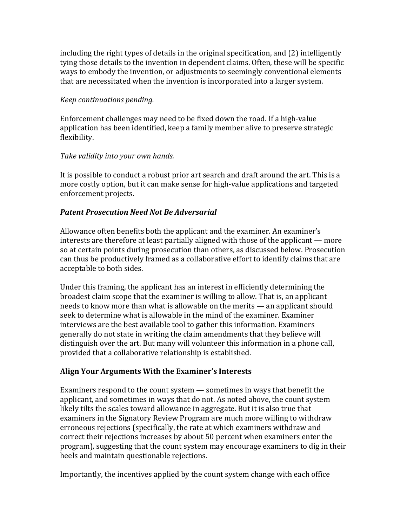including the right types of details in the original specification, and  $(2)$  intelligently tying those details to the invention in dependent claims. Often, these will be specific ways to embody the invention, or adjustments to seemingly conventional elements that are necessitated when the invention is incorporated into a larger system.

#### *Keep continuations pending.*

Enforcement challenges may need to be fixed down the road. If a high-value application has been identified, keep a family member alive to preserve strategic flexibility.

#### Take validity into your own hands.

It is possible to conduct a robust prior art search and draft around the art. This is a more costly option, but it can make sense for high-value applications and targeted enforcement projects.

### *Patent Prosecution Need Not Be Adversarial*

Allowance often benefits both the applicant and the examiner. An examiner's interests are therefore at least partially aligned with those of the applicant — more so at certain points during prosecution than others, as discussed below. Prosecution can thus be productively framed as a collaborative effort to identify claims that are acceptable to both sides.

Under this framing, the applicant has an interest in efficiently determining the broadest claim scope that the examiner is willing to allow. That is, an applicant needs to know more than what is allowable on the merits — an applicant should seek to determine what is allowable in the mind of the examiner. Examiner interviews are the best available tool to gather this information. Examiners generally do not state in writing the claim amendments that they believe will distinguish over the art. But many will volunteer this information in a phone call, provided that a collaborative relationship is established.

### **Align Your Arguments With the Examiner's Interests**

Examiners respond to the count system — sometimes in ways that benefit the applicant, and sometimes in ways that do not. As noted above, the count system likely tilts the scales toward allowance in aggregate. But it is also true that examiners in the Signatory Review Program are much more willing to withdraw erroneous rejections (specifically, the rate at which examiners withdraw and correct their rejections increases by about 50 percent when examiners enter the program), suggesting that the count system may encourage examiners to dig in their heels and maintain questionable rejections.

Importantly, the incentives applied by the count system change with each office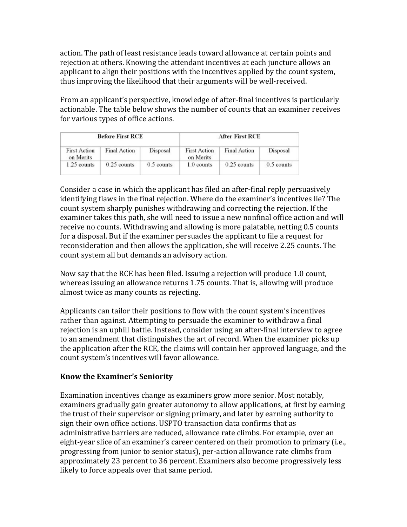action. The path of least resistance leads toward allowance at certain points and rejection at others. Knowing the attendant incentives at each juncture allows an applicant to align their positions with the incentives applied by the count system, thus improving the likelihood that their arguments will be well-received.

From an applicant's perspective, knowledge of after-final incentives is particularly actionable. The table below shows the number of counts that an examiner receives for various types of office actions.

| <b>Before First RCE</b>          |               |              | <b>After First RCE</b>           |                     |              |
|----------------------------------|---------------|--------------|----------------------------------|---------------------|--------------|
| <b>First Action</b><br>on Merits | Final Action  | Disposal     | <b>First Action</b><br>on Merits | <b>Final Action</b> | Disposal     |
| $1.25$ counts                    | $0.25$ counts | $0.5$ counts | 1.0 counts                       | $0.25$ counts       | $0.5$ counts |

Consider a case in which the applicant has filed an after-final reply persuasively identifying flaws in the final rejection. Where do the examiner's incentives lie? The count system sharply punishes withdrawing and correcting the rejection. If the examiner takes this path, she will need to issue a new nonfinal office action and will receive no counts. Withdrawing and allowing is more palatable, netting 0.5 counts for a disposal. But if the examiner persuades the applicant to file a request for reconsideration and then allows the application, she will receive 2.25 counts. The count system all but demands an advisory action.

Now say that the RCE has been filed. Issuing a rejection will produce 1.0 count, whereas issuing an allowance returns 1.75 counts. That is, allowing will produce almost twice as many counts as rejecting.

Applicants can tailor their positions to flow with the count system's incentives rather than against. Attempting to persuade the examiner to withdraw a final rejection is an uphill battle. Instead, consider using an after-final interview to agree to an amendment that distinguishes the art of record. When the examiner picks up the application after the RCE, the claims will contain her approved language, and the count system's incentives will favor allowance.

### **Know the Examiner's Seniority**

Examination incentives change as examiners grow more senior. Most notably, examiners gradually gain greater autonomy to allow applications, at first by earning the trust of their supervisor or signing primary, and later by earning authority to sign their own office actions. USPTO transaction data confirms that as administrative barriers are reduced, allowance rate climbs. For example, over an eight-year slice of an examiner's career centered on their promotion to primary (i.e., progressing from junior to senior status), per-action allowance rate climbs from approximately 23 percent to 36 percent. Examiners also become progressively less likely to force appeals over that same period.